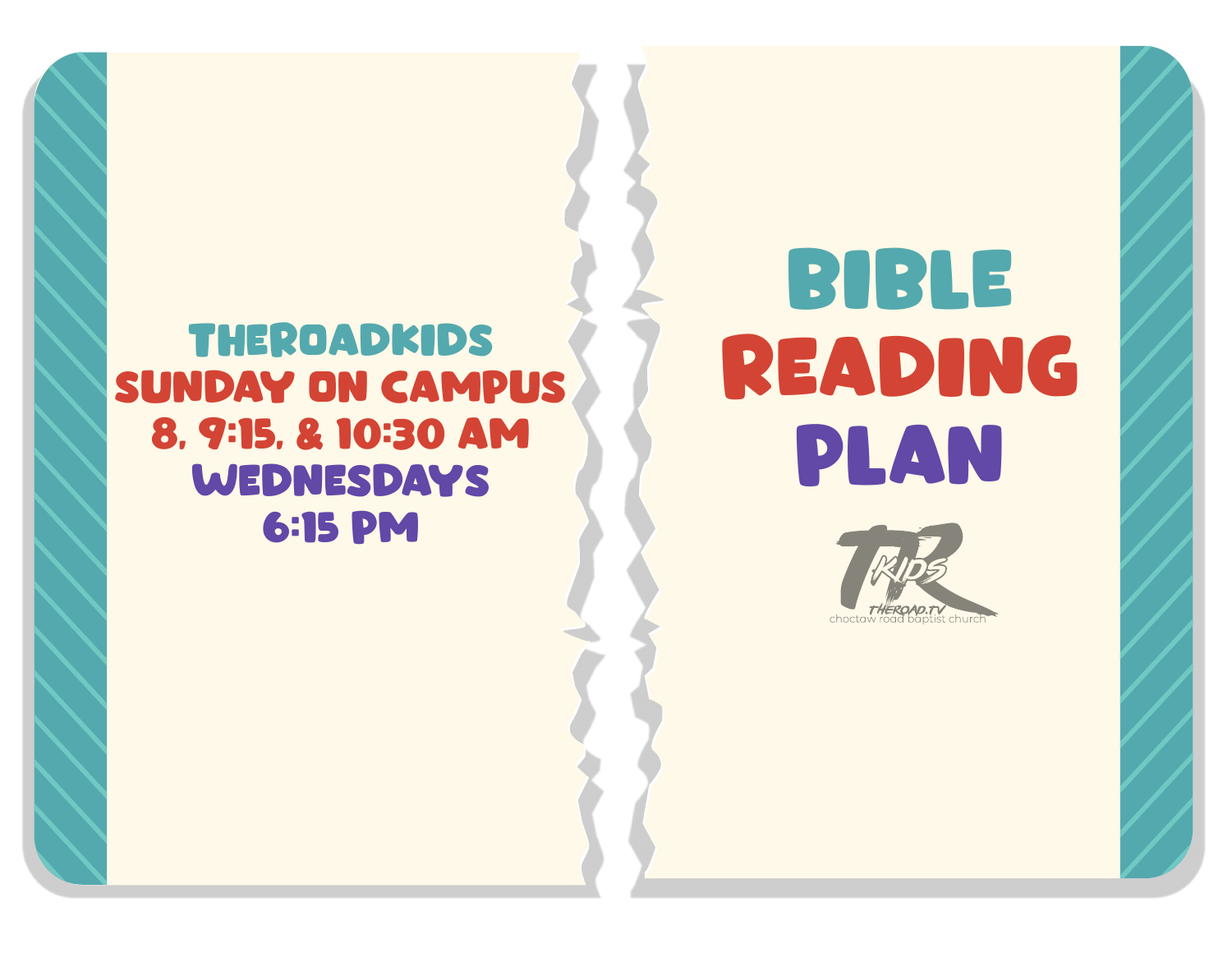## theroadkids SUNDAY ON CAMPUS 8, 9:15, & 10:30 am **WEDNESDAYS** 6:15 PM

# Bible Reading Plan